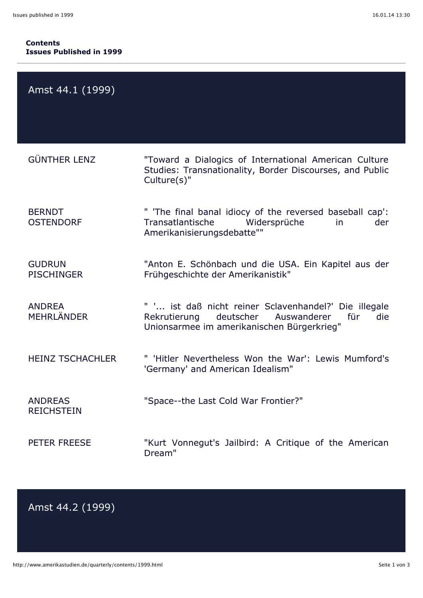## **Contents Issues Published in 1999**

| Amst 44.1 (1999)                    |                                                                                                                                                            |
|-------------------------------------|------------------------------------------------------------------------------------------------------------------------------------------------------------|
| <b>GÜNTHER LENZ</b>                 | "Toward a Dialogics of International American Culture<br>Studies: Transnationality, Border Discourses, and Public<br>Culture(s)"                           |
| <b>BERNDT</b><br><b>OSTENDORF</b>   | " 'The final banal idiocy of the reversed baseball cap':<br>Transatlantische<br>Widersprüche<br>der<br><i>in</i><br>Amerikanisierungsdebatte""             |
| <b>GUDRUN</b><br><b>PISCHINGER</b>  | "Anton E. Schönbach und die USA. Ein Kapitel aus der<br>Frühgeschichte der Amerikanistik"                                                                  |
| <b>ANDREA</b><br><b>MEHRLÄNDER</b>  | " ' ist daß nicht reiner Sclavenhandel?' Die illegale<br>deutscher Auswanderer<br>für<br>die<br>Rekrutierung<br>Unionsarmee im amerikanischen Bürgerkrieg" |
| <b>HEINZ TSCHACHLER</b>             | " 'Hitler Nevertheless Won the War': Lewis Mumford's<br>'Germany' and American Idealism"                                                                   |
| <b>ANDREAS</b><br><b>REICHSTEIN</b> | "Space--the Last Cold War Frontier?"                                                                                                                       |
| PETER FREESE                        | "Kurt Vonnegut's Jailbird: A Critique of the American<br>Dream"                                                                                            |

## Amst 44.2 (1999)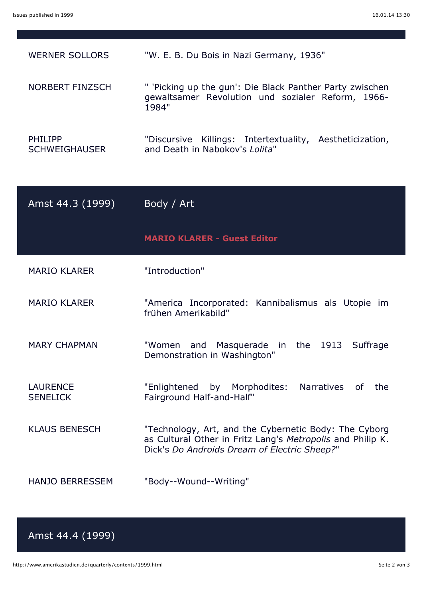| <b>WERNER SOLLORS</b>                  | "W. E. B. Du Bois in Nazi Germany, 1936"                                                                                                                            |
|----------------------------------------|---------------------------------------------------------------------------------------------------------------------------------------------------------------------|
| <b>NORBERT FINZSCH</b>                 | " 'Picking up the gun': Die Black Panther Party zwischen<br>gewaltsamer Revolution und sozialer Reform, 1966-<br>1984"                                              |
| <b>PHILIPP</b><br><b>SCHWEIGHAUSER</b> | "Discursive Killings: Intertextuality, Aestheticization,<br>and Death in Nabokov's Lolita"                                                                          |
| Amst 44.3 (1999)                       | Body / Art                                                                                                                                                          |
|                                        | <b>MARIO KLARER - Guest Editor</b>                                                                                                                                  |
| <b>MARIO KLARER</b>                    | "Introduction"                                                                                                                                                      |
| <b>MARIO KLARER</b>                    | "America Incorporated: Kannibalismus als Utopie im<br>frühen Amerikabild"                                                                                           |
| <b>MARY CHAPMAN</b>                    | "Women and Masquerade in the 1913 Suffrage<br>Demonstration in Washington"                                                                                          |
|                                        |                                                                                                                                                                     |
| <b>LAURENCE</b><br><b>SENELICK</b>     | "Enlightened by Morphodites:<br>Narratives<br>the<br>of l<br>Fairground Half-and-Half"                                                                              |
| <b>KLAUS BENESCH</b>                   | "Technology, Art, and the Cybernetic Body: The Cyborg<br>as Cultural Other in Fritz Lang's Metropolis and Philip K.<br>Dick's Do Androids Dream of Electric Sheep?" |

## Amst 44.4 (1999)